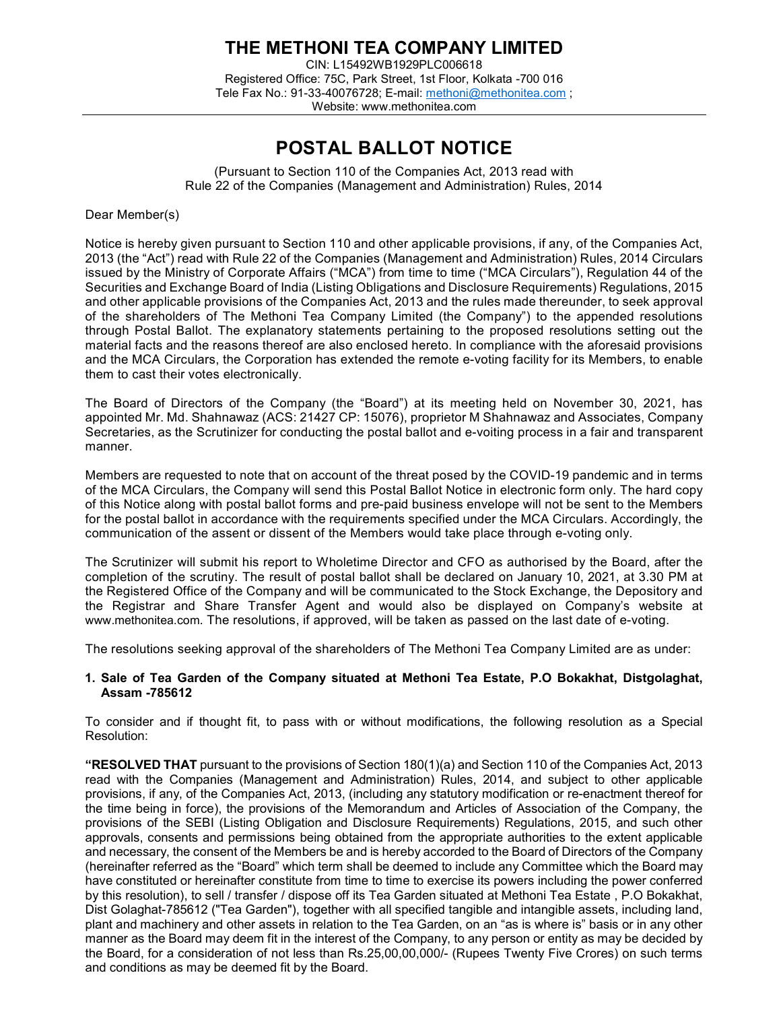# THE METHONI TEA COMPANY LIMITED

CIN: L15492WB1929PLC006618 Registered Office: 75C, Park Street, 1st Floor, Kolkata -700 016 Tele Fax No.: 91-33-40076728; E-mail: methoni@methonitea.com ; Website: www.methonitea.com

# POSTAL BALLOT NOTICE

(Pursuant to Section 110 of the Companies Act, 2013 read with Rule 22 of the Companies (Management and Administration) Rules, 2014

Dear Member(s)

Notice is hereby given pursuant to Section 110 and other applicable provisions, if any, of the Companies Act, 2013 (the "Act") read with Rule 22 of the Companies (Management and Administration) Rules, 2014 Circulars issued by the Ministry of Corporate Affairs ("MCA") from time to time ("MCA Circulars"), Regulation 44 of the Securities and Exchange Board of India (Listing Obligations and Disclosure Requirements) Regulations, 2015 and other applicable provisions of the Companies Act, 2013 and the rules made thereunder, to seek approval of the shareholders of The Methoni Tea Company Limited (the Company") to the appended resolutions through Postal Ballot. The explanatory statements pertaining to the proposed resolutions setting out the material facts and the reasons thereof are also enclosed hereto. In compliance with the aforesaid provisions and the MCA Circulars, the Corporation has extended the remote e-voting facility for its Members, to enable them to cast their votes electronically.

The Board of Directors of the Company (the "Board") at its meeting held on November 30, 2021, has appointed Mr. Md. Shahnawaz (ACS: 21427 CP: 15076), proprietor M Shahnawaz and Associates, Company Secretaries, as the Scrutinizer for conducting the postal ballot and e-voiting process in a fair and transparent manner.

Members are requested to note that on account of the threat posed by the COVID-19 pandemic and in terms of the MCA Circulars, the Company will send this Postal Ballot Notice in electronic form only. The hard copy of this Notice along with postal ballot forms and pre-paid business envelope will not be sent to the Members for the postal ballot in accordance with the requirements specified under the MCA Circulars. Accordingly, the communication of the assent or dissent of the Members would take place through e-voting only.

The Scrutinizer will submit his report to Wholetime Director and CFO as authorised by the Board, after the completion of the scrutiny. The result of postal ballot shall be declared on January 10, 2021, at 3.30 PM at the Registered Office of the Company and will be communicated to the Stock Exchange, the Depository and the Registrar and Share Transfer Agent and would also be displayed on Company's website at www.methonitea.com. The resolutions, if approved, will be taken as passed on the last date of e-voting.

The resolutions seeking approval of the shareholders of The Methoni Tea Company Limited are as under:

### 1. Sale of Tea Garden of the Company situated at Methoni Tea Estate, P.O Bokakhat, Distgolaghat, Assam -785612

To consider and if thought fit, to pass with or without modifications, the following resolution as a Special Resolution:

"RESOLVED THAT pursuant to the provisions of Section 180(1)(a) and Section 110 of the Companies Act, 2013 read with the Companies (Management and Administration) Rules, 2014, and subject to other applicable provisions, if any, of the Companies Act, 2013, (including any statutory modification or re-enactment thereof for the time being in force), the provisions of the Memorandum and Articles of Association of the Company, the provisions of the SEBI (Listing Obligation and Disclosure Requirements) Regulations, 2015, and such other approvals, consents and permissions being obtained from the appropriate authorities to the extent applicable and necessary, the consent of the Members be and is hereby accorded to the Board of Directors of the Company (hereinafter referred as the "Board" which term shall be deemed to include any Committee which the Board may have constituted or hereinafter constitute from time to time to exercise its powers including the power conferred by this resolution), to sell / transfer / dispose off its Tea Garden situated at Methoni Tea Estate , P.O Bokakhat, Dist Golaghat-785612 ("Tea Garden"), together with all specified tangible and intangible assets, including land, plant and machinery and other assets in relation to the Tea Garden, on an "as is where is" basis or in any other manner as the Board may deem fit in the interest of the Company, to any person or entity as may be decided by the Board, for a consideration of not less than Rs.25,00,00,000/- (Rupees Twenty Five Crores) on such terms and conditions as may be deemed fit by the Board.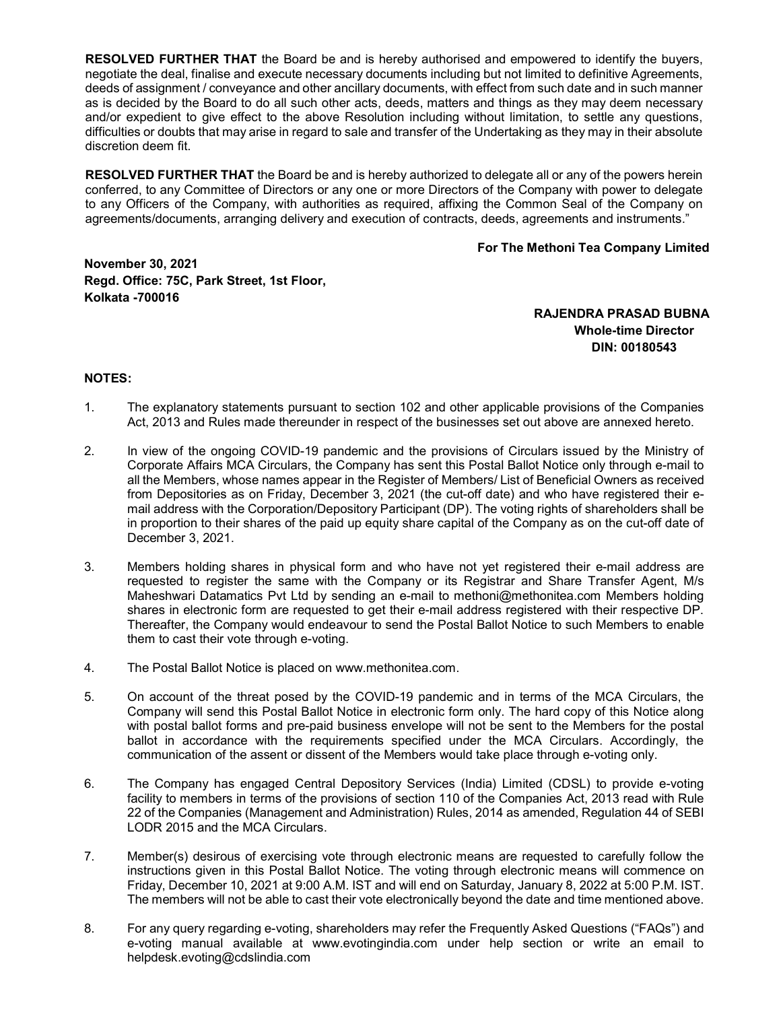**RESOLVED FURTHER THAT** the Board be and is hereby authorised and empowered to identify the buyers, negotiate the deal, finalise and execute necessary documents including but not limited to definitive Agreements, deeds of assignment / conveyance and other ancillary documents, with effect from such date and in such manner as is decided by the Board to do all such other acts, deeds, matters and things as they may deem necessary and/or expedient to give effect to the above Resolution including without limitation, to settle any questions, difficulties or doubts that may arise in regard to sale and transfer of the Undertaking as they may in their absolute discretion deem fit.

RESOLVED FURTHER THAT the Board be and is hereby authorized to delegate all or any of the powers herein conferred, to any Committee of Directors or any one or more Directors of the Company with power to delegate to any Officers of the Company, with authorities as required, affixing the Common Seal of the Company on agreements/documents, arranging delivery and execution of contracts, deeds, agreements and instruments."

### For The Methoni Tea Company Limited

November 30, 2021 Regd. Office: 75C, Park Street, 1st Floor, Kolkata -700016

> RAJENDRA PRASAD BUBNA Whole-time Director DIN: 00180543

## NOTES:

- 1. The explanatory statements pursuant to section 102 and other applicable provisions of the Companies Act, 2013 and Rules made thereunder in respect of the businesses set out above are annexed hereto.
- 2. In view of the ongoing COVID-19 pandemic and the provisions of Circulars issued by the Ministry of Corporate Affairs MCA Circulars, the Company has sent this Postal Ballot Notice only through e-mail to all the Members, whose names appear in the Register of Members/ List of Beneficial Owners as received from Depositories as on Friday, December 3, 2021 (the cut-off date) and who have registered their email address with the Corporation/Depository Participant (DP). The voting rights of shareholders shall be in proportion to their shares of the paid up equity share capital of the Company as on the cut-off date of December 3, 2021.
- 3. Members holding shares in physical form and who have not yet registered their e-mail address are requested to register the same with the Company or its Registrar and Share Transfer Agent, M/s Maheshwari Datamatics Pvt Ltd by sending an e-mail to methoni@methonitea.com Members holding shares in electronic form are requested to get their e-mail address registered with their respective DP. Thereafter, the Company would endeavour to send the Postal Ballot Notice to such Members to enable them to cast their vote through e-voting.
- 4. The Postal Ballot Notice is placed on www.methonitea.com.
- 5. On account of the threat posed by the COVID-19 pandemic and in terms of the MCA Circulars, the Company will send this Postal Ballot Notice in electronic form only. The hard copy of this Notice along with postal ballot forms and pre-paid business envelope will not be sent to the Members for the postal ballot in accordance with the requirements specified under the MCA Circulars. Accordingly, the communication of the assent or dissent of the Members would take place through e-voting only.
- 6. The Company has engaged Central Depository Services (India) Limited (CDSL) to provide e-voting facility to members in terms of the provisions of section 110 of the Companies Act, 2013 read with Rule 22 of the Companies (Management and Administration) Rules, 2014 as amended, Regulation 44 of SEBI LODR 2015 and the MCA Circulars.
- 7. Member(s) desirous of exercising vote through electronic means are requested to carefully follow the instructions given in this Postal Ballot Notice. The voting through electronic means will commence on Friday, December 10, 2021 at 9:00 A.M. IST and will end on Saturday, January 8, 2022 at 5:00 P.M. IST. The members will not be able to cast their vote electronically beyond the date and time mentioned above.
- 8. For any query regarding e-voting, shareholders may refer the Frequently Asked Questions ("FAQs") and e-voting manual available at www.evotingindia.com under help section or write an email to helpdesk.evoting@cdslindia.com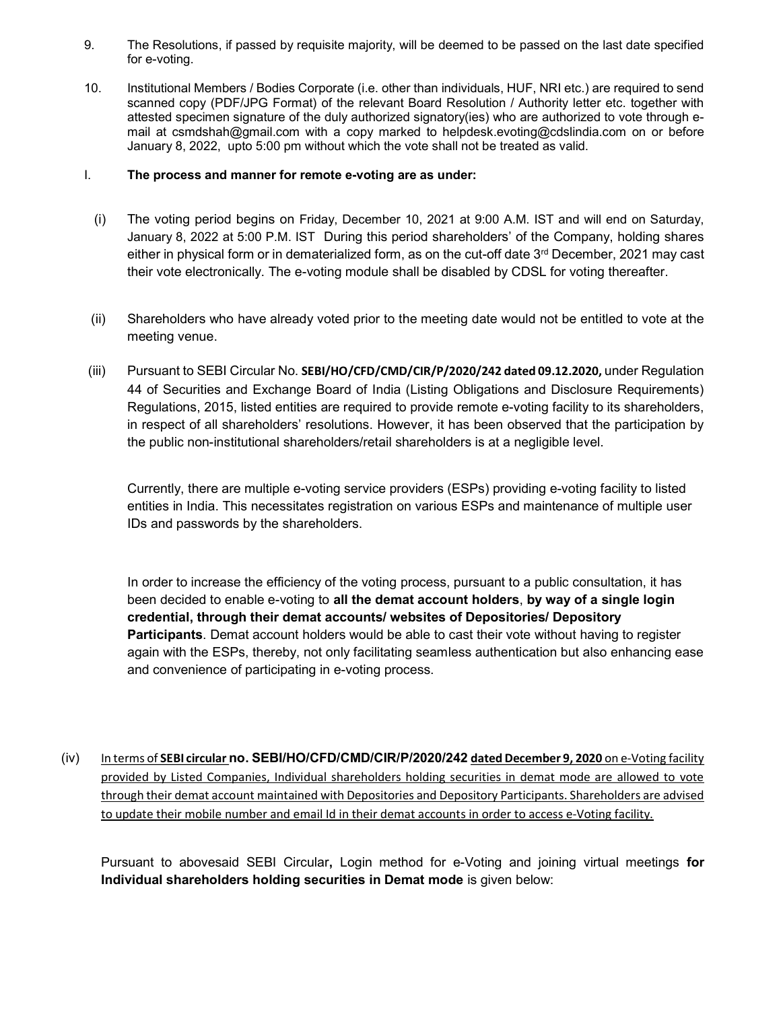- 9. The Resolutions, if passed by requisite majority, will be deemed to be passed on the last date specified for e-voting.
- 10. Institutional Members / Bodies Corporate (i.e. other than individuals, HUF, NRI etc.) are required to send scanned copy (PDF/JPG Format) of the relevant Board Resolution / Authority letter etc. together with attested specimen signature of the duly authorized signatory(ies) who are authorized to vote through email at csmdshah@gmail.com with a copy marked to helpdesk.evoting@cdslindia.com on or before January 8, 2022, upto 5:00 pm without which the vote shall not be treated as valid.

## I. The process and manner for remote e-voting are as under:

- (i) The voting period begins on Friday, December 10, 2021 at 9:00 A.M. IST and will end on Saturday, January 8, 2022 at 5:00 P.M. IST During this period shareholders' of the Company, holding shares either in physical form or in dematerialized form, as on the cut-off date  $3<sup>rd</sup>$  December, 2021 may cast their vote electronically. The e-voting module shall be disabled by CDSL for voting thereafter.
- (ii) Shareholders who have already voted prior to the meeting date would not be entitled to vote at the meeting venue.
- (iii) Pursuant to SEBI Circular No. SEBI/HO/CFD/CMD/CIR/P/2020/242 dated 09.12.2020, under Regulation 44 of Securities and Exchange Board of India (Listing Obligations and Disclosure Requirements) Regulations, 2015, listed entities are required to provide remote e-voting facility to its shareholders, in respect of all shareholders' resolutions. However, it has been observed that the participation by the public non-institutional shareholders/retail shareholders is at a negligible level.

Currently, there are multiple e-voting service providers (ESPs) providing e-voting facility to listed entities in India. This necessitates registration on various ESPs and maintenance of multiple user IDs and passwords by the shareholders.

In order to increase the efficiency of the voting process, pursuant to a public consultation, it has been decided to enable e-voting to all the demat account holders, by way of a single login credential, through their demat accounts/ websites of Depositories/ Depository Participants. Demat account holders would be able to cast their vote without having to register again with the ESPs, thereby, not only facilitating seamless authentication but also enhancing ease and convenience of participating in e-voting process.

(iv) In terms of SEBI circular no. SEBI/HO/CFD/CMD/CIR/P/2020/242 dated December 9, 2020 on e-Voting facility provided by Listed Companies, Individual shareholders holding securities in demat mode are allowed to vote through their demat account maintained with Depositories and Depository Participants. Shareholders are advised to update their mobile number and email Id in their demat accounts in order to access e-Voting facility.

Pursuant to abovesaid SEBI Circular, Login method for e-Voting and joining virtual meetings for Individual shareholders holding securities in Demat mode is given below: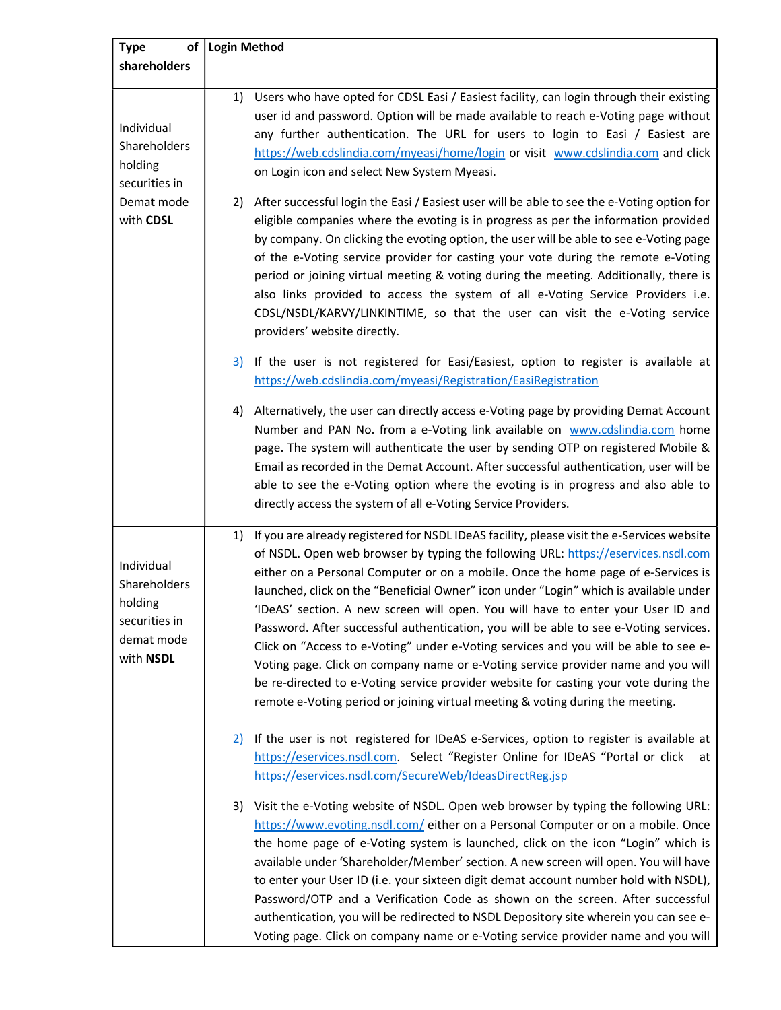| <b>Type</b>                                                                       | of   Login Method                                                                                                                                                                                                                                                                                                                                                                                                                                                                                                                                                                                                                                                                                                                                                                                                                                                                                       |
|-----------------------------------------------------------------------------------|---------------------------------------------------------------------------------------------------------------------------------------------------------------------------------------------------------------------------------------------------------------------------------------------------------------------------------------------------------------------------------------------------------------------------------------------------------------------------------------------------------------------------------------------------------------------------------------------------------------------------------------------------------------------------------------------------------------------------------------------------------------------------------------------------------------------------------------------------------------------------------------------------------|
| shareholders                                                                      |                                                                                                                                                                                                                                                                                                                                                                                                                                                                                                                                                                                                                                                                                                                                                                                                                                                                                                         |
| Individual<br>Shareholders<br>holding<br>securities in                            | Users who have opted for CDSL Easi / Easiest facility, can login through their existing<br>1)<br>user id and password. Option will be made available to reach e-Voting page without<br>any further authentication. The URL for users to login to Easi / Easiest are<br>https://web.cdslindia.com/myeasi/home/login or visit www.cdslindia.com and click<br>on Login icon and select New System Myeasi.                                                                                                                                                                                                                                                                                                                                                                                                                                                                                                  |
| Demat mode<br>with CDSL                                                           | 2) After successful login the Easi / Easiest user will be able to see the e-Voting option for<br>eligible companies where the evoting is in progress as per the information provided<br>by company. On clicking the evoting option, the user will be able to see e-Voting page<br>of the e-Voting service provider for casting your vote during the remote e-Voting<br>period or joining virtual meeting & voting during the meeting. Additionally, there is<br>also links provided to access the system of all e-Voting Service Providers i.e.<br>CDSL/NSDL/KARVY/LINKINTIME, so that the user can visit the e-Voting service<br>providers' website directly.                                                                                                                                                                                                                                          |
|                                                                                   | If the user is not registered for Easi/Easiest, option to register is available at<br>3)<br>https://web.cdslindia.com/myeasi/Registration/EasiRegistration                                                                                                                                                                                                                                                                                                                                                                                                                                                                                                                                                                                                                                                                                                                                              |
|                                                                                   | Alternatively, the user can directly access e-Voting page by providing Demat Account<br>4)<br>Number and PAN No. from a e-Voting link available on www.cdslindia.com home<br>page. The system will authenticate the user by sending OTP on registered Mobile &<br>Email as recorded in the Demat Account. After successful authentication, user will be<br>able to see the e-Voting option where the evoting is in progress and also able to<br>directly access the system of all e-Voting Service Providers.                                                                                                                                                                                                                                                                                                                                                                                           |
| Individual<br>Shareholders<br>holding<br>securities in<br>demat mode<br>with NSDL | If you are already registered for NSDL IDeAS facility, please visit the e-Services website<br>1)<br>of NSDL. Open web browser by typing the following URL: https://eservices.nsdl.com<br>either on a Personal Computer or on a mobile. Once the home page of e-Services is<br>launched, click on the "Beneficial Owner" icon under "Login" which is available under<br>'IDeAS' section. A new screen will open. You will have to enter your User ID and<br>Password. After successful authentication, you will be able to see e-Voting services.<br>Click on "Access to e-Voting" under e-Voting services and you will be able to see e-<br>Voting page. Click on company name or e-Voting service provider name and you will<br>be re-directed to e-Voting service provider website for casting your vote during the<br>remote e-Voting period or joining virtual meeting & voting during the meeting. |
|                                                                                   | If the user is not registered for IDeAS e-Services, option to register is available at<br>2)<br>https://eservices.nsdl.com. Select "Register Online for IDeAS "Portal or click<br>at<br>https://eservices.nsdl.com/SecureWeb/IdeasDirectReg.jsp                                                                                                                                                                                                                                                                                                                                                                                                                                                                                                                                                                                                                                                         |
|                                                                                   | 3) Visit the e-Voting website of NSDL. Open web browser by typing the following URL:<br>https://www.evoting.nsdl.com/ either on a Personal Computer or on a mobile. Once<br>the home page of e-Voting system is launched, click on the icon "Login" which is<br>available under 'Shareholder/Member' section. A new screen will open. You will have<br>to enter your User ID (i.e. your sixteen digit demat account number hold with NSDL),<br>Password/OTP and a Verification Code as shown on the screen. After successful<br>authentication, you will be redirected to NSDL Depository site wherein you can see e-<br>Voting page. Click on company name or e-Voting service provider name and you will                                                                                                                                                                                              |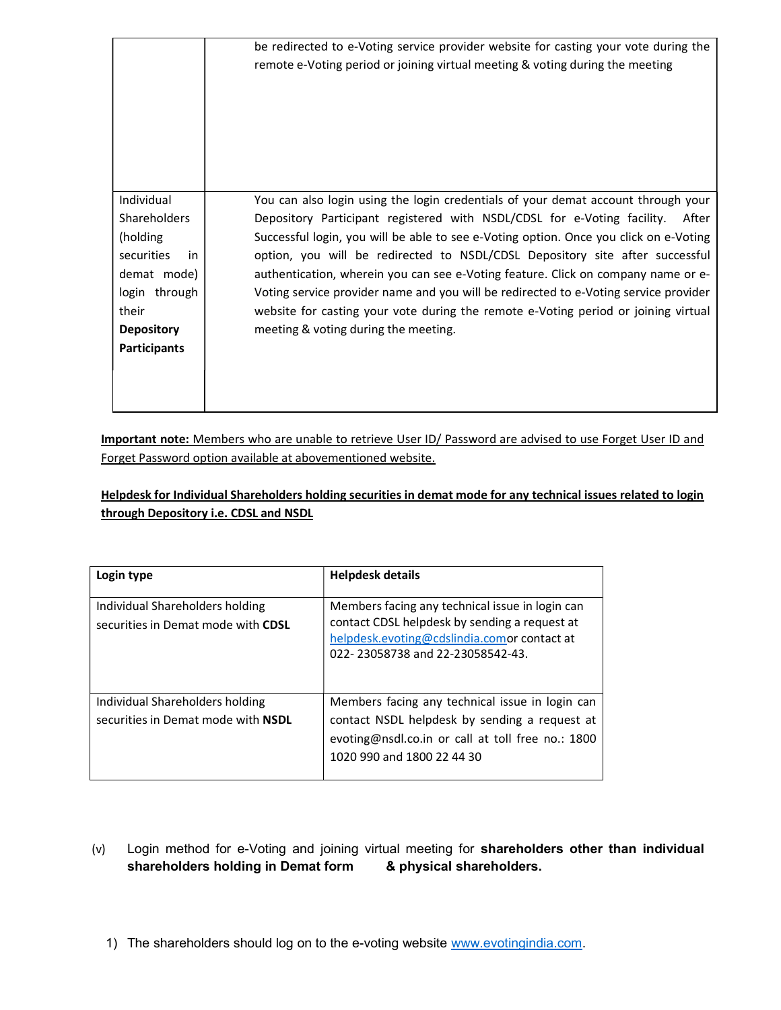|                                                                                                                                                        | be redirected to e-Voting service provider website for casting your vote during the<br>remote e-Voting period or joining virtual meeting & voting during the meeting                                                                                                                                                                                                                                                                                                                                                                                                                                                                                      |
|--------------------------------------------------------------------------------------------------------------------------------------------------------|-----------------------------------------------------------------------------------------------------------------------------------------------------------------------------------------------------------------------------------------------------------------------------------------------------------------------------------------------------------------------------------------------------------------------------------------------------------------------------------------------------------------------------------------------------------------------------------------------------------------------------------------------------------|
| Individual<br><b>Shareholders</b><br>(holding<br>securities<br>in<br>demat mode)<br>login through<br>their<br><b>Depository</b><br><b>Participants</b> | You can also login using the login credentials of your demat account through your<br>Depository Participant registered with NSDL/CDSL for e-Voting facility.<br>After<br>Successful login, you will be able to see e-Voting option. Once you click on e-Voting<br>option, you will be redirected to NSDL/CDSL Depository site after successful<br>authentication, wherein you can see e-Voting feature. Click on company name or e-<br>Voting service provider name and you will be redirected to e-Voting service provider<br>website for casting your vote during the remote e-Voting period or joining virtual<br>meeting & voting during the meeting. |

Important note: Members who are unable to retrieve User ID/ Password are advised to use Forget User ID and Forget Password option available at abovementioned website.

# Helpdesk for Individual Shareholders holding securities in demat mode for any technical issues related to login through Depository i.e. CDSL and NSDL

| Login type                                                            | <b>Helpdesk details</b>                                                                                                                                                             |
|-----------------------------------------------------------------------|-------------------------------------------------------------------------------------------------------------------------------------------------------------------------------------|
| Individual Shareholders holding<br>securities in Demat mode with CDSL | Members facing any technical issue in login can<br>contact CDSL helpdesk by sending a request at<br>helpdesk.evoting@cdslindia.comor contact at<br>022-23058738 and 22-23058542-43. |
| Individual Shareholders holding<br>securities in Demat mode with NSDL | Members facing any technical issue in login can<br>contact NSDL helpdesk by sending a request at<br>evoting@nsdl.co.in or call at toll free no.: 1800<br>1020 990 and 1800 22 44 30 |

- (v) Login method for e-Voting and joining virtual meeting for shareholders other than individual shareholders holding in Demat form & physical shareholders.
	- 1) The shareholders should log on to the e-voting website www.evotingindia.com.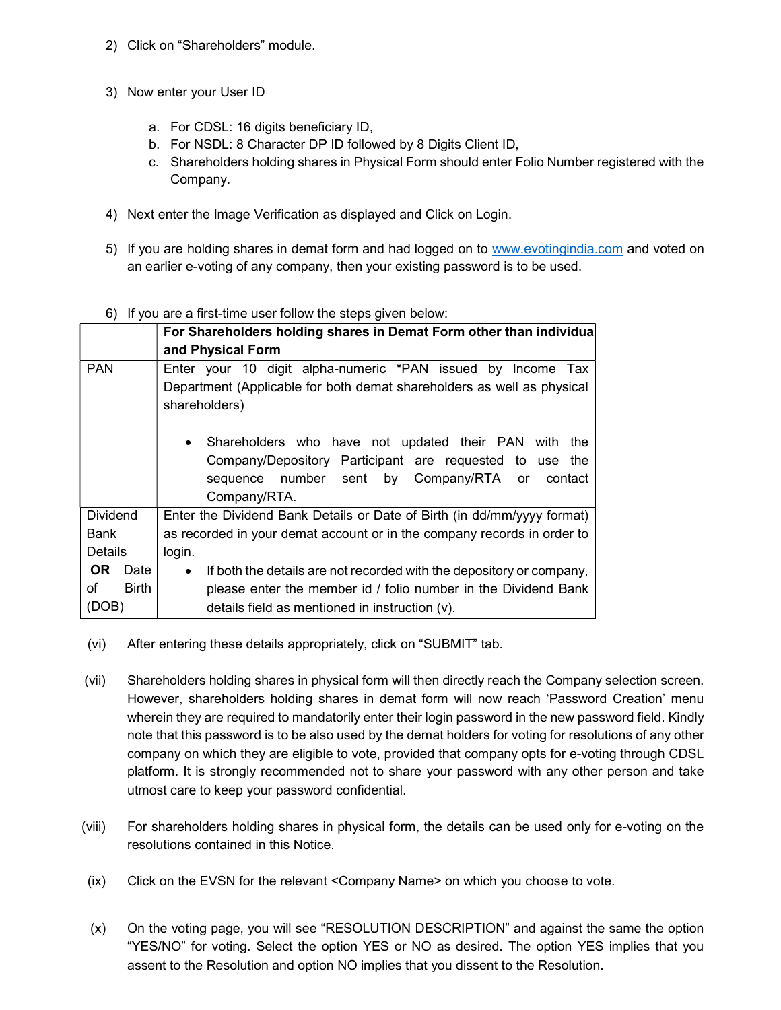- 2) Click on "Shareholders" module.
- 3) Now enter your User ID
	- a. For CDSL: 16 digits beneficiary ID,
	- b. For NSDL: 8 Character DP ID followed by 8 Digits Client ID,
	- c. Shareholders holding shares in Physical Form should enter Folio Number registered with the Company.
- 4) Next enter the Image Verification as displayed and Click on Login.
- 5) If you are holding shares in demat form and had logged on to www.evotingindia.com and voted on an earlier e-voting of any company, then your existing password is to be used.

## 6) If you are a first-time user follow the steps given below:

|                   | For Shareholders holding shares in Demat Form other than individual                                                                                                                               |
|-------------------|---------------------------------------------------------------------------------------------------------------------------------------------------------------------------------------------------|
|                   | and Physical Form                                                                                                                                                                                 |
| <b>PAN</b>        | Enter your 10 digit alpha-numeric *PAN issued by Income Tax                                                                                                                                       |
|                   | Department (Applicable for both demat shareholders as well as physical                                                                                                                            |
|                   | shareholders)                                                                                                                                                                                     |
|                   | Shareholders who have not updated their PAN with the<br>$\bullet$<br>Company/Depository Participant are requested to use the<br>sequence number sent by Company/RTA or<br>contact<br>Company/RTA. |
| <b>Dividend</b>   | Enter the Dividend Bank Details or Date of Birth (in dd/mm/yyyy format)                                                                                                                           |
| Bank              | as recorded in your demat account or in the company records in order to                                                                                                                           |
| <b>Details</b>    | login.                                                                                                                                                                                            |
| <b>OR</b><br>Date | If both the details are not recorded with the depository or company,<br>$\bullet$                                                                                                                 |
| Birth<br>of       | please enter the member id / folio number in the Dividend Bank                                                                                                                                    |
| (DOB)             | details field as mentioned in instruction (v).                                                                                                                                                    |

- (vi) After entering these details appropriately, click on "SUBMIT" tab.
- (vii) Shareholders holding shares in physical form will then directly reach the Company selection screen. However, shareholders holding shares in demat form will now reach 'Password Creation' menu wherein they are required to mandatorily enter their login password in the new password field. Kindly note that this password is to be also used by the demat holders for voting for resolutions of any other company on which they are eligible to vote, provided that company opts for e-voting through CDSL platform. It is strongly recommended not to share your password with any other person and take utmost care to keep your password confidential.
- (viii) For shareholders holding shares in physical form, the details can be used only for e-voting on the resolutions contained in this Notice.
- (ix) Click on the EVSN for the relevant <Company Name> on which you choose to vote.
- (x) On the voting page, you will see "RESOLUTION DESCRIPTION" and against the same the option "YES/NO" for voting. Select the option YES or NO as desired. The option YES implies that you assent to the Resolution and option NO implies that you dissent to the Resolution.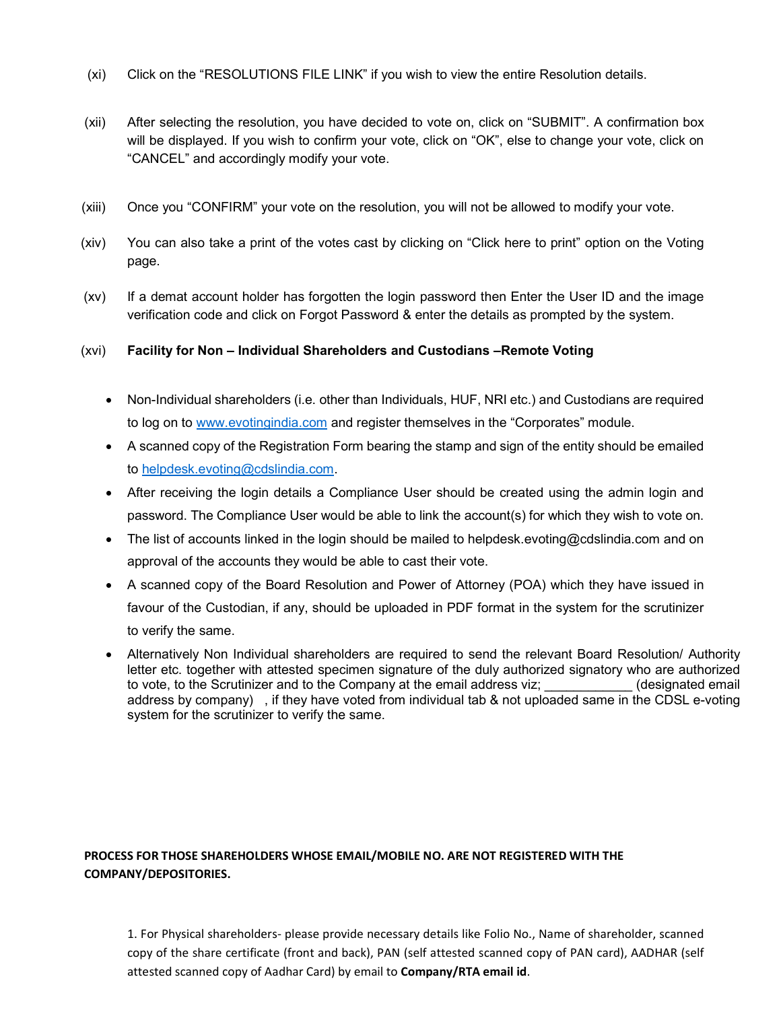- (xi) Click on the "RESOLUTIONS FILE LINK" if you wish to view the entire Resolution details.
- (xii) After selecting the resolution, you have decided to vote on, click on "SUBMIT". A confirmation box will be displayed. If you wish to confirm your vote, click on "OK", else to change your vote, click on "CANCEL" and accordingly modify your vote.
- (xiii) Once you "CONFIRM" your vote on the resolution, you will not be allowed to modify your vote.
- (xiv) You can also take a print of the votes cast by clicking on "Click here to print" option on the Voting page.
- (xv) If a demat account holder has forgotten the login password then Enter the User ID and the image verification code and click on Forgot Password & enter the details as prompted by the system.

## (xvi) Facility for Non – Individual Shareholders and Custodians –Remote Voting

- Non-Individual shareholders (i.e. other than Individuals, HUF, NRI etc.) and Custodians are required to log on to www.evotingindia.com and register themselves in the "Corporates" module.
- A scanned copy of the Registration Form bearing the stamp and sign of the entity should be emailed to helpdesk.evoting@cdslindia.com.
- After receiving the login details a Compliance User should be created using the admin login and password. The Compliance User would be able to link the account(s) for which they wish to vote on.
- The list of accounts linked in the login should be mailed to helpdesk.evoting@cdslindia.com and on approval of the accounts they would be able to cast their vote.
- A scanned copy of the Board Resolution and Power of Attorney (POA) which they have issued in favour of the Custodian, if any, should be uploaded in PDF format in the system for the scrutinizer to verify the same.
- Alternatively Non Individual shareholders are required to send the relevant Board Resolution/ Authority letter etc. together with attested specimen signature of the duly authorized signatory who are authorized to vote, to the Scrutinizer and to the Company at the email address viz; entitled in the scrutinizer and to the Company at the email address viz; address by company) , if they have voted from individual tab & not uploaded same in the CDSL e-voting system for the scrutinizer to verify the same.

# PROCESS FOR THOSE SHAREHOLDERS WHOSE EMAIL/MOBILE NO. ARE NOT REGISTERED WITH THE COMPANY/DEPOSITORIES.

1. For Physical shareholders- please provide necessary details like Folio No., Name of shareholder, scanned copy of the share certificate (front and back), PAN (self attested scanned copy of PAN card), AADHAR (self attested scanned copy of Aadhar Card) by email to Company/RTA email id.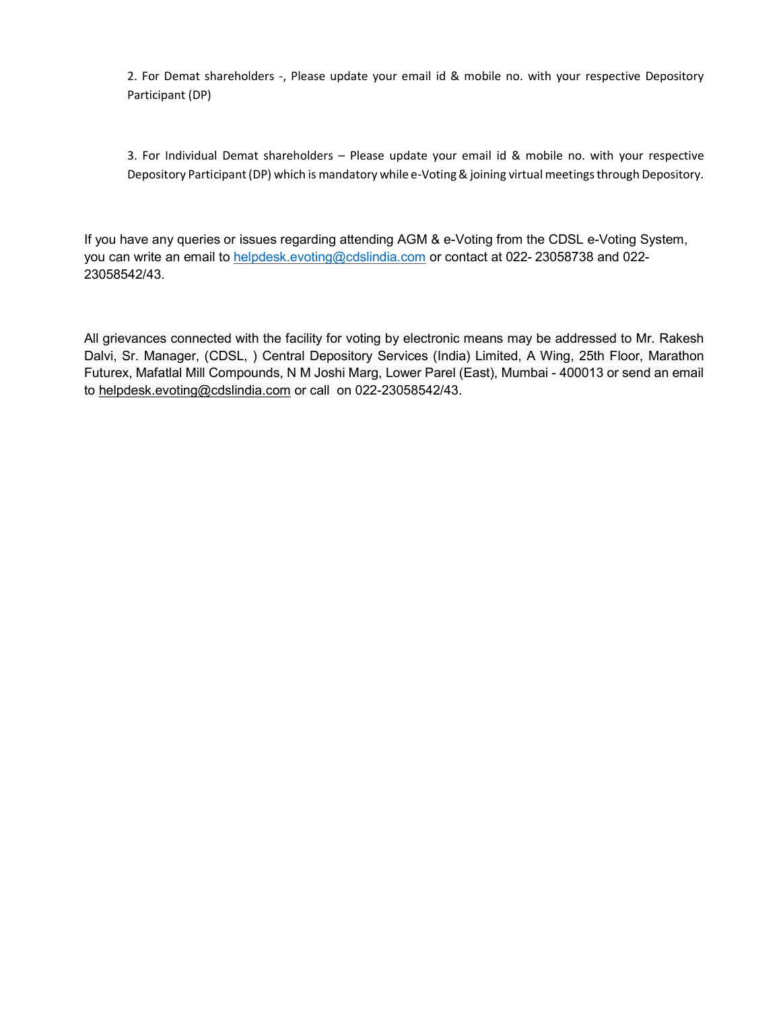2. For Demat shareholders -, Please update your email id & mobile no. with your respective Depository Participant (DP)

3. For Individual Demat shareholders – Please update your email id & mobile no. with your respective Depository Participant (DP) which is mandatory while e-Voting & joining virtual meetings through Depository.

If you have any queries or issues regarding attending AGM & e-Voting from the CDSL e-Voting System, you can write an email to helpdesk.evoting@cdslindia.com or contact at 022-23058738 and 022-23058542/43.

All grievances connected with the facility for voting by electronic means may be addressed to Mr. Rakesh Dalvi, Sr. Manager, (CDSL, ) Central Depository Services (India) Limited, A Wing, 25th Floor, Marathon Futurex, Mafatlal Mill Compounds, N M Joshi Marg, Lower Parel (East), Mumbai - 400013 or send an email to helpdesk.evoting@cdslindia.com or call on 022-23058542/43.